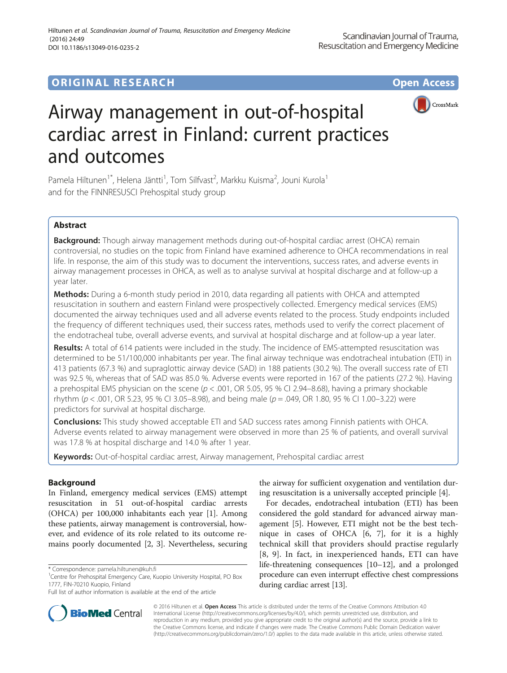# **ORIGINAL RESEARCH CONSUMING ACCESS**



# Airway management in out-of-hospital cardiac arrest in Finland: current practices and outcomes

Pamela Hiltunen<sup>1\*</sup>, Helena Jäntti<sup>1</sup>, Tom Silfvast<sup>2</sup>, Markku Kuisma<sup>2</sup>, Jouni Kurola<sup>1</sup> and for the FINNRESUSCI Prehospital study group

# Abstract

Background: Though airway management methods during out-of-hospital cardiac arrest (OHCA) remain controversial, no studies on the topic from Finland have examined adherence to OHCA recommendations in real life. In response, the aim of this study was to document the interventions, success rates, and adverse events in airway management processes in OHCA, as well as to analyse survival at hospital discharge and at follow-up a year later.

Methods: During a 6-month study period in 2010, data regarding all patients with OHCA and attempted resuscitation in southern and eastern Finland were prospectively collected. Emergency medical services (EMS) documented the airway techniques used and all adverse events related to the process. Study endpoints included the frequency of different techniques used, their success rates, methods used to verify the correct placement of the endotracheal tube, overall adverse events, and survival at hospital discharge and at follow-up a year later.

Results: A total of 614 patients were included in the study. The incidence of EMS-attempted resuscitation was determined to be 51/100,000 inhabitants per year. The final airway technique was endotracheal intubation (ETI) in 413 patients (67.3 %) and supraglottic airway device (SAD) in 188 patients (30.2 %). The overall success rate of ETI was 92.5 %, whereas that of SAD was 85.0 %. Adverse events were reported in 167 of the patients (27.2 %). Having a prehospital EMS physician on the scene ( $p < .001$ , OR 5.05, 95 % CI 2.94–8.68), having a primary shockable rhythm ( $p < .001$ , OR 5.23, 95 % CI 3.05–8.98), and being male ( $p = .049$ , OR 1.80, 95 % CI 1.00–3.22) were predictors for survival at hospital discharge.

**Conclusions:** This study showed acceptable ETI and SAD success rates among Finnish patients with OHCA. Adverse events related to airway management were observed in more than 25 % of patients, and overall survival was 17.8 % at hospital discharge and 14.0 % after 1 year.

Keywords: Out-of-hospital cardiac arrest, Airway management, Prehospital cardiac arrest

# Background

In Finland, emergency medical services (EMS) attempt resuscitation in 51 out-of-hospital cardiac arrests (OHCA) per 100,000 inhabitants each year [[1\]](#page-7-0). Among these patients, airway management is controversial, however, and evidence of its role related to its outcome remains poorly documented [[2, 3\]](#page-7-0). Nevertheless, securing



For decades, endotracheal intubation (ETI) has been considered the gold standard for advanced airway management [\[5](#page-7-0)]. However, ETI might not be the best technique in cases of OHCA [\[6](#page-7-0), [7\]](#page-7-0), for it is a highly technical skill that providers should practise regularly [[8](#page-7-0), [9](#page-7-0)]. In fact, in inexperienced hands, ETI can have life-threatening consequences [[10](#page-7-0)–[12\]](#page-7-0), and a prolonged procedure can even interrupt effective chest compressions during cardiac arrest [\[13\]](#page-7-0).



© 2016 Hiltunen et al. Open Access This article is distributed under the terms of the Creative Commons Attribution 4.0 International License [\(http://creativecommons.org/licenses/by/4.0/](http://creativecommons.org/licenses/by/4.0/)), which permits unrestricted use, distribution, and reproduction in any medium, provided you give appropriate credit to the original author(s) and the source, provide a link to the Creative Commons license, and indicate if changes were made. The Creative Commons Public Domain Dedication waiver [\(http://creativecommons.org/publicdomain/zero/1.0/](http://creativecommons.org/publicdomain/zero/1.0/)) applies to the data made available in this article, unless otherwise stated.

<sup>\*</sup> Correspondence: [pamela.hiltunen@kuh.fi](mailto:pamela.hiltunen@kuh.fi) <sup>1</sup>

Centre for Prehospital Emergency Care, Kuopio University Hospital, PO Box 1777, FIN-70210 Kuopio, Finland

Full list of author information is available at the end of the article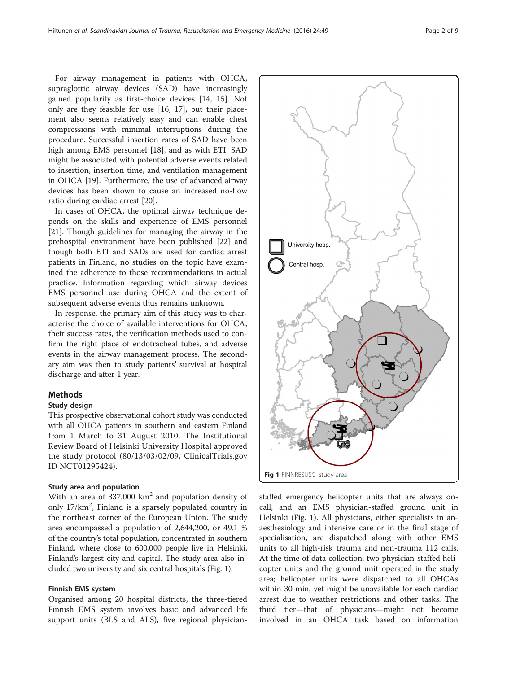For airway management in patients with OHCA, supraglottic airway devices (SAD) have increasingly gained popularity as first-choice devices [\[14](#page-7-0), [15](#page-7-0)]. Not only are they feasible for use [[16](#page-7-0), [17\]](#page-7-0), but their placement also seems relatively easy and can enable chest compressions with minimal interruptions during the procedure. Successful insertion rates of SAD have been high among EMS personnel [[18\]](#page-7-0), and as with ETI, SAD might be associated with potential adverse events related to insertion, insertion time, and ventilation management in OHCA [\[19](#page-7-0)]. Furthermore, the use of advanced airway devices has been shown to cause an increased no-flow ratio during cardiac arrest [[20](#page-7-0)].

In cases of OHCA, the optimal airway technique depends on the skills and experience of EMS personnel [[21\]](#page-7-0). Though guidelines for managing the airway in the prehospital environment have been published [[22\]](#page-7-0) and though both ETI and SADs are used for cardiac arrest patients in Finland, no studies on the topic have examined the adherence to those recommendations in actual practice. Information regarding which airway devices EMS personnel use during OHCA and the extent of subsequent adverse events thus remains unknown.

In response, the primary aim of this study was to characterise the choice of available interventions for OHCA, their success rates, the verification methods used to confirm the right place of endotracheal tubes, and adverse events in the airway management process. The secondary aim was then to study patients' survival at hospital discharge and after 1 year.

# Methods

#### Study design

This prospective observational cohort study was conducted with all OHCA patients in southern and eastern Finland from 1 March to 31 August 2010. The Institutional Review Board of Helsinki University Hospital approved the study protocol (80/13/03/02/09, ClinicalTrials.gov ID NCT01295424).

## Study area and population

With an area of  $337,000 \text{ km}^2$  and population density of only 17/km<sup>2</sup>, Finland is a sparsely populated country in the northeast corner of the European Union. The study area encompassed a population of 2,644,200, or 49.1 % of the country's total population, concentrated in southern Finland, where close to 600,000 people live in Helsinki, Finland's largest city and capital. The study area also included two university and six central hospitals (Fig. 1).

# Finnish EMS system

Organised among 20 hospital districts, the three-tiered Finnish EMS system involves basic and advanced life support units (BLS and ALS), five regional physician-



staffed emergency helicopter units that are always oncall, and an EMS physician-staffed ground unit in Helsinki (Fig. 1). All physicians, either specialists in anaesthesiology and intensive care or in the final stage of specialisation, are dispatched along with other EMS units to all high-risk trauma and non-trauma 112 calls. At the time of data collection, two physician-staffed helicopter units and the ground unit operated in the study area; helicopter units were dispatched to all OHCAs within 30 min, yet might be unavailable for each cardiac arrest due to weather restrictions and other tasks. The third tier—that of physicians—might not become involved in an OHCA task based on information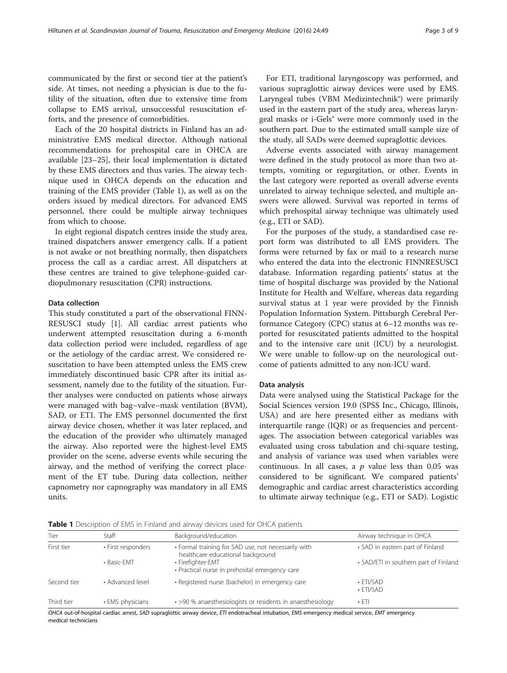communicated by the first or second tier at the patient's side. At times, not needing a physician is due to the fu-

collapse to EMS arrival, unsuccessful resuscitation efforts, and the presence of comorbidities. Each of the 20 hospital districts in Finland has an administrative EMS medical director. Although national recommendations for prehospital care in OHCA are available [[23](#page-7-0)–[25](#page-7-0)], their local implementation is dictated by these EMS directors and thus varies. The airway technique used in OHCA depends on the education and training of the EMS provider (Table 1), as well as on the orders issued by medical directors. For advanced EMS

tility of the situation, often due to extensive time from

from which to choose. In eight regional dispatch centres inside the study area, trained dispatchers answer emergency calls. If a patient is not awake or not breathing normally, then dispatchers process the call as a cardiac arrest. All dispatchers at these centres are trained to give telephone-guided cardiopulmonary resuscitation (CPR) instructions.

personnel, there could be multiple airway techniques

#### Data collection

This study constituted a part of the observational FINN-RESUSCI study [[1\]](#page-7-0). All cardiac arrest patients who underwent attempted resuscitation during a 6-month data collection period were included, regardless of age or the aetiology of the cardiac arrest. We considered resuscitation to have been attempted unless the EMS crew immediately discontinued basic CPR after its initial assessment, namely due to the futility of the situation. Further analyses were conducted on patients whose airways were managed with bag–valve–mask ventilation (BVM), SAD, or ETI. The EMS personnel documented the first airway device chosen, whether it was later replaced, and the education of the provider who ultimately managed the airway. Also reported were the highest-level EMS provider on the scene, adverse events while securing the airway, and the method of verifying the correct placement of the ET tube. During data collection, neither capnometry nor capnography was mandatory in all EMS units.

For ETI, traditional laryngoscopy was performed, and various supraglottic airway devices were used by EMS. Laryngeal tubes (VBM Medizintechnik®) were primarily used in the eastern part of the study area, whereas laryngeal masks or i-Gels® were more commonly used in the southern part. Due to the estimated small sample size of the study, all SADs were deemed supraglottic devices.

Adverse events associated with airway management were defined in the study protocol as more than two attempts, vomiting or regurgitation, or other. Events in the last category were reported as overall adverse events unrelated to airway technique selected, and multiple answers were allowed. Survival was reported in terms of which prehospital airway technique was ultimately used (e.g., ETI or SAD).

For the purposes of the study, a standardised case report form was distributed to all EMS providers. The forms were returned by fax or mail to a research nurse who entered the data into the electronic FINNRESUSCI database. Information regarding patients' status at the time of hospital discharge was provided by the National Institute for Health and Welfare, whereas data regarding survival status at 1 year were provided by the Finnish Population Information System. Pittsburgh Cerebral Performance Category (CPC) status at 6–12 months was reported for resuscitated patients admitted to the hospital and to the intensive care unit (ICU) by a neurologist. We were unable to follow-up on the neurological outcome of patients admitted to any non-ICU ward.

#### Data analysis

Data were analysed using the Statistical Package for the Social Sciences version 19.0 (SPSS Inc., Chicago, Illinois, USA) and are here presented either as medians with interquartile range (IQR) or as frequencies and percentages. The association between categorical variables was evaluated using cross tabulation and chi-square testing, and analysis of variance was used when variables were continuous. In all cases, a  $p$  value less than 0.05 was considered to be significant. We compared patients' demographic and cardiac arrest characteristics according to ultimate airway technique (e.g., ETI or SAD). Logistic

Table 1 Description of EMS in Finland and airway devices used for OHCA patients

| Tier        | Staff              | Background/education                                                                     | Airway technique in OHCA              |
|-------------|--------------------|------------------------------------------------------------------------------------------|---------------------------------------|
| First tier  | • First responders | • Formal training for SAD use, not necessarily with<br>healthcare educational background | • SAD in eastern part of Finland      |
|             | • Basic-FMT        | • Firefighter-EMT<br>· Practical nurse in prehosital emergency care                      | • SAD/ETI in southern part of Finland |
| Second tier | • Advanced level   | • Registered nurse (bachelor) in emergency care                                          | $\cdot$ ETI/SAD<br>$\cdot$ ETI/SAD    |
| Third tier  | • EMS physicians   | • >90 % anaesthesiologists or residents in anaesthesiology                               | $\cdot$ etil                          |

OHCA out-of-hospital cardiac arrest, SAD supraglottic airway device, ETI endotracheal intubation, EMS emergency medical service, EMT emergency medical technicians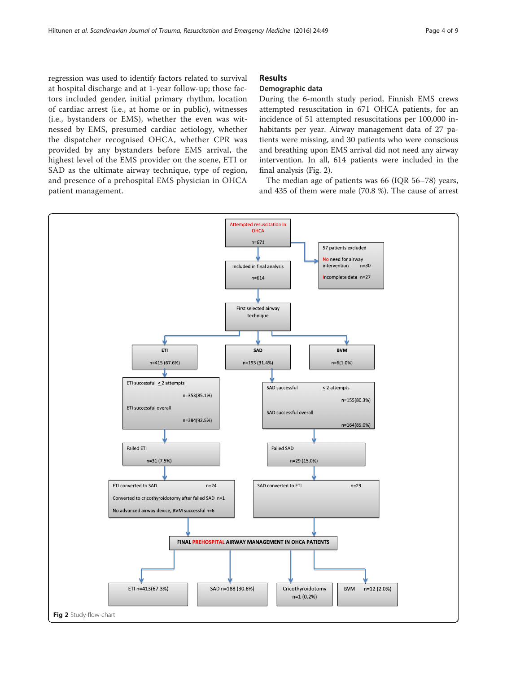regression was used to identify factors related to survival at hospital discharge and at 1-year follow-up; those factors included gender, initial primary rhythm, location of cardiac arrest (i.e., at home or in public), witnesses (i.e., bystanders or EMS), whether the even was witnessed by EMS, presumed cardiac aetiology, whether the dispatcher recognised OHCA, whether CPR was provided by any bystanders before EMS arrival, the highest level of the EMS provider on the scene, ETI or SAD as the ultimate airway technique, type of region, and presence of a prehospital EMS physician in OHCA patient management.

# Results

# Demographic data

During the 6-month study period, Finnish EMS crews attempted resuscitation in 671 OHCA patients, for an incidence of 51 attempted resuscitations per 100,000 inhabitants per year. Airway management data of 27 patients were missing, and 30 patients who were conscious and breathing upon EMS arrival did not need any airway intervention. In all, 614 patients were included in the final analysis (Fig. 2).

The median age of patients was 66 (IQR 56–78) years, and 435 of them were male (70.8 %). The cause of arrest

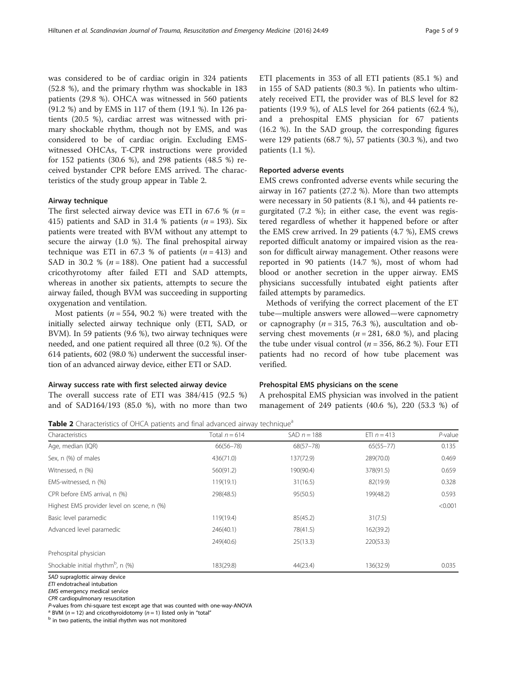was considered to be of cardiac origin in 324 patients (52.8 %), and the primary rhythm was shockable in 183 patients (29.8 %). OHCA was witnessed in 560 patients (91.2 %) and by EMS in 117 of them (19.1 %). In 126 patients (20.5 %), cardiac arrest was witnessed with primary shockable rhythm, though not by EMS, and was considered to be of cardiac origin. Excluding EMSwitnessed OHCAs, T-CPR instructions were provided for 152 patients (30.6 %), and 298 patients (48.5 %) received bystander CPR before EMS arrived. The characteristics of the study group appear in Table 2.

#### Airway technique

The first selected airway device was ETI in 67.6 % ( $n =$ 415) patients and SAD in 31.4 % patients  $(n = 193)$ . Six patients were treated with BVM without any attempt to secure the airway (1.0 %). The final prehospital airway technique was ETI in 67.3 % of patients  $(n = 413)$  and SAD in 30.2 % ( $n = 188$ ). One patient had a successful cricothyrotomy after failed ETI and SAD attempts, whereas in another six patients, attempts to secure the airway failed, though BVM was succeeding in supporting oxygenation and ventilation.

Most patients ( $n = 554$ , 90.2 %) were treated with the initially selected airway technique only (ETI, SAD, or BVM). In 59 patients (9.6 %), two airway techniques were needed, and one patient required all three (0.2 %). Of the 614 patients, 602 (98.0 %) underwent the successful insertion of an advanced airway device, either ETI or SAD.

#### Airway success rate with first selected airway device

The overall success rate of ETI was 384/415 (92.5 %) and of SAD164/193 (85.0 %), with no more than two ETI placements in 353 of all ETI patients (85.1 %) and in 155 of SAD patients (80.3 %). In patients who ultimately received ETI, the provider was of BLS level for 82 patients (19.9 %), of ALS level for 264 patients (62.4 %), and a prehospital EMS physician for 67 patients (16.2 %). In the SAD group, the corresponding figures were 129 patients (68.7 %), 57 patients (30.3 %), and two patients (1.1 %).

# Reported adverse events

EMS crews confronted adverse events while securing the airway in 167 patients (27.2 %). More than two attempts were necessary in 50 patients (8.1 %), and 44 patients regurgitated (7.2 %); in either case, the event was registered regardless of whether it happened before or after the EMS crew arrived. In 29 patients (4.7 %), EMS crews reported difficult anatomy or impaired vision as the reason for difficult airway management. Other reasons were reported in 90 patients (14.7 %), most of whom had blood or another secretion in the upper airway. EMS physicians successfully intubated eight patients after failed attempts by paramedics.

Methods of verifying the correct placement of the ET tube—multiple answers were allowed—were capnometry or capnography ( $n = 315, 76.3$  %), auscultation and observing chest movements ( $n = 281, 68.0$  %), and placing the tube under visual control ( $n = 356$ , 86.2 %). Four ETI patients had no record of how tube placement was verified.

# Prehospital EMS physicians on the scene

A prehospital EMS physician was involved in the patient management of 249 patients (40.6 %), 220 (53.3 %) of

Table 2 Characteristics of OHCA patients and final advanced airway technique<sup>a</sup>

| <b>Exercise Conditional Constitution</b> of the <i>Contents and middle developed</i> any recommended |                 |               |               |            |  |  |
|------------------------------------------------------------------------------------------------------|-----------------|---------------|---------------|------------|--|--|
| Characteristics                                                                                      | Total $n = 614$ | SAD $n = 188$ | ETI $n = 413$ | $P$ -value |  |  |
| Age, median (IQR)                                                                                    | $66(56 - 78)$   | $68(57 - 78)$ | $65(55 - 77)$ | 0.135      |  |  |
| Sex, n (%) of males                                                                                  | 436(71.0)       | 137(72.9)     | 289(70.0)     | 0.469      |  |  |
| Witnessed, n (%)                                                                                     | 560(91.2)       | 190(90.4)     | 378(91.5)     | 0.659      |  |  |
| EMS-witnessed, n (%)                                                                                 | 119(19.1)       | 31(16.5)      | 82(19.9)      | 0.328      |  |  |
| CPR before EMS arrival, n (%)                                                                        | 298(48.5)       | 95(50.5)      | 199(48.2)     | 0.593      |  |  |
| Highest EMS provider level on scene, n (%)                                                           |                 |               |               | < 0.001    |  |  |
| Basic level paramedic                                                                                | 119(19.4)       | 85(45.2)      | 31(7.5)       |            |  |  |
| Advanced level paramedic                                                                             | 246(40.1)       | 78(41.5)      | 162(39.2)     |            |  |  |
|                                                                                                      | 249(40.6)       | 25(13.3)      | 220(53.3)     |            |  |  |
| Prehospital physician                                                                                |                 |               |               |            |  |  |
| Shockable initial rhythm <sup>b</sup> , n (%)                                                        | 183(29.8)       | 44(23.4)      | 136(32.9)     | 0.035      |  |  |
|                                                                                                      |                 |               |               |            |  |  |

SAD supraglottic airway device

ETI endotracheal intubation

EMS emergency medical service

CPR cardiopulmonary resuscitation

P-values from chi-square test except age that was counted with one-way-ANOVA

<sup>a</sup> BVM (*n* = 12) and cricothyroidotomy (*n* = 1) listed only in "total"<br><sup>b</sup> in two patients, the initial rhythm was not monitored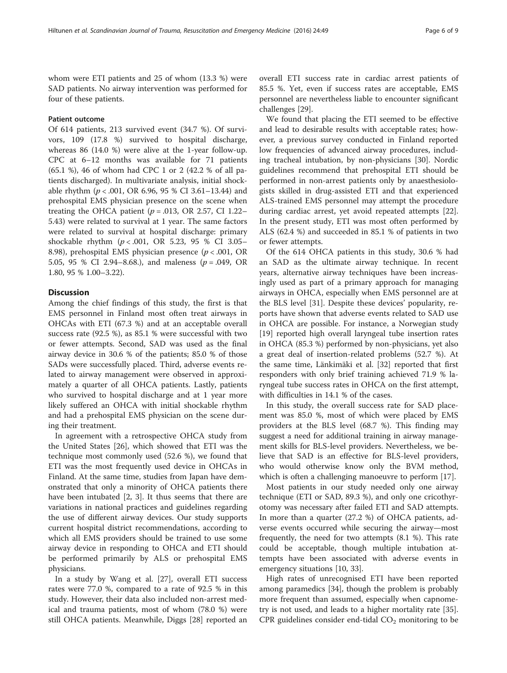whom were ETI patients and 25 of whom (13.3 %) were SAD patients. No airway intervention was performed for four of these patients.

## Patient outcome

Of 614 patients, 213 survived event (34.7 %). Of survivors, 109 (17.8 %) survived to hospital discharge, whereas 86 (14.0 %) were alive at the 1-year follow-up. CPC at 6–12 months was available for 71 patients (65.1 %), 46 of whom had CPC 1 or 2 (42.2 % of all patients discharged). In multivariate analysis, initial shockable rhythm ( $p < .001$ , OR 6.96, 95 % CI 3.61–13.44) and prehospital EMS physician presence on the scene when treating the OHCA patient ( $p = .013$ , OR 2.57, CI 1.22– 5.43) were related to survival at 1 year. The same factors were related to survival at hospital discharge: primary shockable rhythm  $(p < .001, \text{ OR } 5.23, 95 \% \text{ CI } 3.05-$ 8.98), prehospital EMS physician presence ( $p < .001$ , OR 5.05, 95 % CI 2.94–8.68.), and maleness ( $p = .049$ , OR 1.80, 95 % 1.00–3.22).

# **Discussion**

Among the chief findings of this study, the first is that EMS personnel in Finland most often treat airways in OHCAs with ETI (67.3 %) and at an acceptable overall success rate (92.5 %), as 85.1 % were successful with two or fewer attempts. Second, SAD was used as the final airway device in 30.6 % of the patients; 85.0 % of those SADs were successfully placed. Third, adverse events related to airway management were observed in approximately a quarter of all OHCA patients. Lastly, patients who survived to hospital discharge and at 1 year more likely suffered an OHCA with initial shockable rhythm and had a prehospital EMS physician on the scene during their treatment.

In agreement with a retrospective OHCA study from the United States [[26](#page-7-0)], which showed that ETI was the technique most commonly used (52.6 %), we found that ETI was the most frequently used device in OHCAs in Finland. At the same time, studies from Japan have demonstrated that only a minority of OHCA patients there have been intubated [\[2, 3\]](#page-7-0). It thus seems that there are variations in national practices and guidelines regarding the use of different airway devices. Our study supports current hospital district recommendations, according to which all EMS providers should be trained to use some airway device in responding to OHCA and ETI should be performed primarily by ALS or prehospital EMS physicians.

In a study by Wang et al. [\[27\]](#page-7-0), overall ETI success rates were 77.0 %, compared to a rate of 92.5 % in this study. However, their data also included non-arrest medical and trauma patients, most of whom (78.0 %) were still OHCA patients. Meanwhile, Diggs [[28\]](#page-7-0) reported an overall ETI success rate in cardiac arrest patients of 85.5 %. Yet, even if success rates are acceptable, EMS personnel are nevertheless liable to encounter significant challenges [[29\]](#page-7-0).

We found that placing the ETI seemed to be effective and lead to desirable results with acceptable rates; however, a previous survey conducted in Finland reported low frequencies of advanced airway procedures, including tracheal intubation, by non-physicians [[30](#page-7-0)]. Nordic guidelines recommend that prehospital ETI should be performed in non-arrest patients only by anaesthesiologists skilled in drug-assisted ETI and that experienced ALS-trained EMS personnel may attempt the procedure during cardiac arrest, yet avoid repeated attempts [\[22](#page-7-0)]. In the present study, ETI was most often performed by ALS (62.4 %) and succeeded in 85.1 % of patients in two or fewer attempts.

Of the 614 OHCA patients in this study, 30.6 % had an SAD as the ultimate airway technique. In recent years, alternative airway techniques have been increasingly used as part of a primary approach for managing airways in OHCA, especially when EMS personnel are at the BLS level [[31\]](#page-7-0). Despite these devices' popularity, reports have shown that adverse events related to SAD use in OHCA are possible. For instance, a Norwegian study [[19\]](#page-7-0) reported high overall laryngeal tube insertion rates in OHCA (85.3 %) performed by non-physicians, yet also a great deal of insertion-related problems (52.7 %). At the same time, Länkimäki et al. [\[32](#page-7-0)] reported that first responders with only brief training achieved 71.9 % laryngeal tube success rates in OHCA on the first attempt, with difficulties in 14.1 % of the cases.

In this study, the overall success rate for SAD placement was 85.0 %, most of which were placed by EMS providers at the BLS level (68.7 %). This finding may suggest a need for additional training in airway management skills for BLS-level providers. Nevertheless, we believe that SAD is an effective for BLS-level providers, who would otherwise know only the BVM method, which is often a challenging manoeuvre to perform [[17\]](#page-7-0).

Most patients in our study needed only one airway technique (ETI or SAD, 89.3 %), and only one cricothyrotomy was necessary after failed ETI and SAD attempts. In more than a quarter (27.2 %) of OHCA patients, adverse events occurred while securing the airway—most frequently, the need for two attempts (8.1 %). This rate could be acceptable, though multiple intubation attempts have been associated with adverse events in emergency situations [\[10, 33\]](#page-7-0).

High rates of unrecognised ETI have been reported among paramedics [[34](#page-7-0)], though the problem is probably more frequent than assumed, especially when capnometry is not used, and leads to a higher mortality rate [\[35](#page-7-0)]. CPR guidelines consider end-tidal  $CO<sub>2</sub>$  monitoring to be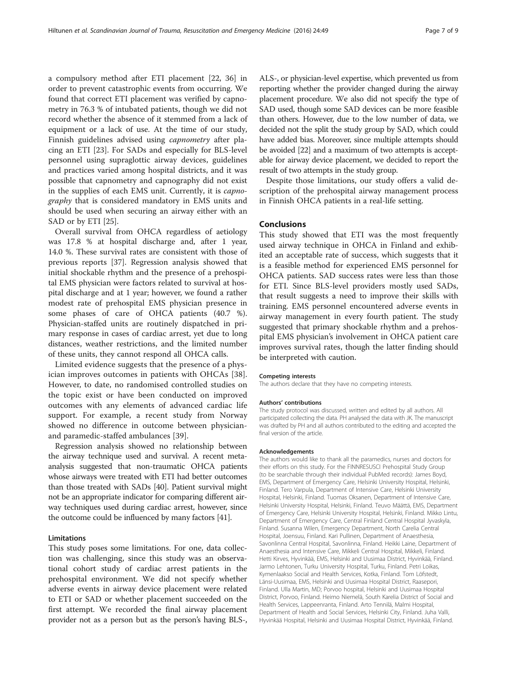a compulsory method after ETI placement [\[22, 36\]](#page-7-0) in order to prevent catastrophic events from occurring. We found that correct ETI placement was verified by capnometry in 76.3 % of intubated patients, though we did not record whether the absence of it stemmed from a lack of equipment or a lack of use. At the time of our study, Finnish guidelines advised using capnometry after placing an ETI [[23\]](#page-7-0). For SADs and especially for BLS-level personnel using supraglottic airway devices, guidelines and practices varied among hospital districts, and it was possible that capnometry and capnography did not exist in the supplies of each EMS unit. Currently, it is capnography that is considered mandatory in EMS units and should be used when securing an airway either with an SAD or by ETI [\[25](#page-7-0)].

Overall survival from OHCA regardless of aetiology was 17.8 % at hospital discharge and, after 1 year, 14.0 %. These survival rates are consistent with those of previous reports [[37](#page-7-0)]. Regression analysis showed that initial shockable rhythm and the presence of a prehospital EMS physician were factors related to survival at hospital discharge and at 1 year; however, we found a rather modest rate of prehospital EMS physician presence in some phases of care of OHCA patients (40.7 %). Physician-staffed units are routinely dispatched in primary response in cases of cardiac arrest, yet due to long distances, weather restrictions, and the limited number of these units, they cannot respond all OHCA calls.

Limited evidence suggests that the presence of a physician improves outcomes in patients with OHCAs [\[38](#page-8-0)]. However, to date, no randomised controlled studies on the topic exist or have been conducted on improved outcomes with any elements of advanced cardiac life support. For example, a recent study from Norway showed no difference in outcome between physicianand paramedic-staffed ambulances [\[39](#page-8-0)].

Regression analysis showed no relationship between the airway technique used and survival. A recent metaanalysis suggested that non-traumatic OHCA patients whose airways were treated with ETI had better outcomes than those treated with SADs [[40](#page-8-0)]. Patient survival might not be an appropriate indicator for comparing different airway techniques used during cardiac arrest, however, since the outcome could be influenced by many factors [\[41](#page-8-0)].

# Limitations

This study poses some limitations. For one, data collection was challenging, since this study was an observational cohort study of cardiac arrest patients in the prehospital environment. We did not specify whether adverse events in airway device placement were related to ETI or SAD or whether placement succeeded on the first attempt. We recorded the final airway placement provider not as a person but as the person's having BLS-, ALS-, or physician-level expertise, which prevented us from reporting whether the provider changed during the airway placement procedure. We also did not specify the type of SAD used, though some SAD devices can be more feasible than others. However, due to the low number of data, we decided not the split the study group by SAD, which could have added bias. Moreover, since multiple attempts should be avoided [[22](#page-7-0)] and a maximum of two attempts is acceptable for airway device placement, we decided to report the result of two attempts in the study group.

Despite those limitations, our study offers a valid description of the prehospital airway management process in Finnish OHCA patients in a real-life setting.

# Conclusions

This study showed that ETI was the most frequently used airway technique in OHCA in Finland and exhibited an acceptable rate of success, which suggests that it is a feasible method for experienced EMS personnel for OHCA patients. SAD success rates were less than those for ETI. Since BLS-level providers mostly used SADs, that result suggests a need to improve their skills with training. EMS personnel encountered adverse events in airway management in every fourth patient. The study suggested that primary shockable rhythm and a prehospital EMS physician's involvement in OHCA patient care improves survival rates, though the latter finding should be interpreted with caution.

#### Competing interests

The authors declare that they have no competing interests.

#### Authors' contributions

The study protocol was discussed, written and edited by all authors. All participated collecting the data. PH analysed the data with JK. The manuscript was drafted by PH and all authors contributed to the editing and accepted the final version of the article.

#### Acknowledgements

The authors would like to thank all the paramedics, nurses and doctors for their efforts on this study. For the FINNRESUSCI Prehospital Study Group (to be searchable through their individual PubMed records): James Boyd, EMS, Department of Emergency Care, Helsinki University Hospital, Helsinki, Finland. Tero Varpula, Department of Intensive Care, Helsinki University Hospital, Helsinki, Finland. Tuomas Oksanen, Department of Intensive Care, Helsinki University Hospital, Helsinki, Finland. Teuvo Määttä, EMS, Department of Emergency Care, Helsinki University Hospital, Helsinki, Finland. Mikko Lintu, Department of Emergency Care, Central Finland Central Hospital Jyvaskyla, Finland. Susanna Wilen, Emergency Department, North Carelia Central Hospital, Joensuu, Finland. Kari Pullinen, Department of Anaesthesia, Savonlinna Central Hospital, Savonlinna, Finland. Heikki Laine, Department of Anaesthesia and Intensive Care, Mikkeli Central Hospital, Mikkeli, Finland. Hetti Kirves, Hyvinkää, EMS, Helsinki and Uusimaa District, Hyvinkää, Finland. Jarmo Lehtonen, Turku University Hospital, Turku, Finland. Petri Loikas, Kymenlaakso Social and Health Services, Kotka, Finland. Tom Löfstedt, Länsi-Uusimaa, EMS, Helsinki and Uusimaa Hospital District, Raasepori, Finland. Ulla Martin, MD; Porvoo hospital, Helsinki and Uusimaa Hospital District, Porvoo, Finland. Heimo Niemelä, South Karelia District of Social and Health Services, Lappeenranta, Finland. Arto Tennilä, Malmi Hospital, Department of Health and Social Services, Helsinki City, Finland. Juha Valli, Hyvinkää Hospital, Helsinki and Uusimaa Hospital District, Hyvinkää, Finland.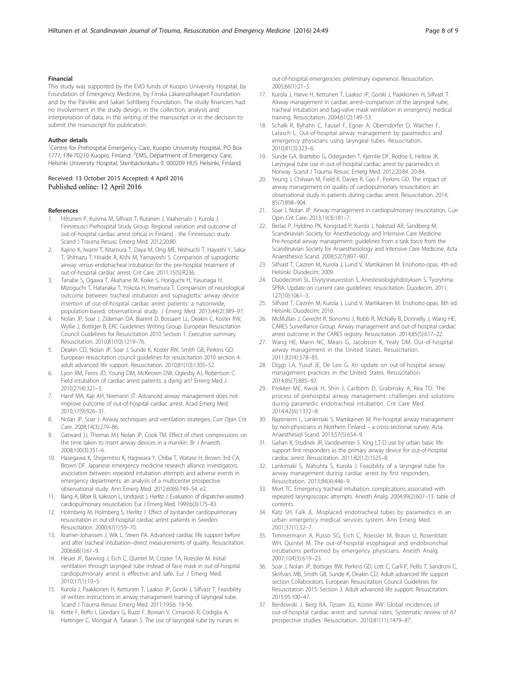#### <span id="page-7-0"></span>Financial

This study was supported by the EVO funds of Kuopio University Hospital, by Foundation of Emergency Medicine, by Finska Läkaresällskapet Foundation and by the Päivikki and Sakari Sohlberg Foundation. The study financers had no involvement in the study design, in the collection, analysis and interpretation of data, in the writing of the manuscript or in the decision to submit the manuscript for publication.

#### Author details

<sup>1</sup> Centre for Prehospital Emergency Care, Kuopio University Hospital, PO Box 1777, FIN-70210 Kuopio, Finland. <sup>2</sup>EMS, Department of Emergency Care, Helsinki University Hospital, Stenbäckinkatu 9, 000209 HUS Helsinki, Finland.

#### Received: 13 October 2015 Accepted: 4 April 2016 Published online: 12 April 2016

#### References

- 1. Hiltunen P, Kuisma M, Silfvast T, Rutanen J, Vaahersalo J, Kurola J, Finnresusci Prehospital Study Group. Regional variation and outcome of out-of-hospital cardiac arrest (ohca) in Finland - the Finnresusci study. Scand J Trauma Resusc Emerg Med. 2012;20:80.
- 2. Kajino K, Iwami T, Kitamura T, Daya M, Ong ME, Nishiuchi T, Hayashi Y, Sakai T, Shimazu T, Hiraide A, Kishi M, Yamayoshi S. Comparison of supraglottic airway versus endotracheal intubation for the pre-hospital treatment of out-of-hospital cardiac arrest. Crit Care. 2011;15(5):R236.
- 3. Tanabe S, Ogawa T, Akahane M, Koike S, Horiguchi H, Yasunaga H, Mizoguchi T, Hatanaka T, Yokota H, Imamura T. Comparison of neurological outcome between tracheal intubation and supraglottic airway device insertion of out-of-hospital cardiac arrest patients: a nationwide, population-based, observational study. J Emerg Med. 2013;44(2):389–97.
- 4. Nolan JP, Soar J, Zideman DA, Biarent D, Bossaert LL, Deakin C, Koster RW, Wyllie J, Bottiger B, ERC Guidelines Writing Group. European Resuscitation Council Guidelines for Resuscitation 2010 Section 1. Executive summary. Resuscitation. 2010;81(10):1219–76.
- 5. Deakin CD, Nolan JP, Soar J, Sunde K, Koster RW, Smith GB, Perkins GD. European resuscitation council guidelines for resuscitation 2010 section 4. adult advanced life support. Resuscitation. 2010;81(10):1305–52.
- Lyon RM, Ferris JD, Young DM, McKeown DW, Oglesby AJ, Robertson C. Field intubation of cardiac arrest patients: a dying art? Emerg Med J. 2010;27(4):321–3.
- 7. Hanif MA, Kaji AH, Niemann JT. Advanced airway management does not improve outcome of out-of-hospital cardiac arrest. Acad Emerg Med. 2010;17(9):926–31.
- 8. Nolan JP, Soar J. Airway techniques and ventilation strategies. Curr Opin Crit Care. 2008;14(3):279–86.
- Gatward JJ, Thomas MJ, Nolan JP, Cook TM. Effect of chest compressions on the time taken to insert airway devices in a manikin. Br J Anaesth. 2008;100(3):351–6.
- 10. Hasegawa K, Shigemitsu K, Hagiwara Y, Chiba T, Watase H, Brown 3rd CA, Brown DF. Japanese emergency medicine research alliance investigators. association between repeated intubation attempts and adverse events in emergency departments: an analysis of a multicenter prospective observational study. Ann Emerg Med. 2012;60(6):749–54. e2.
- 11. Bang A, Biber B, Isaksson L, Lindqvist J, Herlitz J. Evaluation of dispatcher-assisted cardiopulmonary resuscitation. Eur J Emerg Med. 1999;6(3):175–83.
- 12. Holmberg M, Holmberg S, Herlitz J. Effect of bystander cardiopulmonary resuscitation in out-of-hospital cardiac arrest patients in Sweden. Resuscitation. 2000;47(1):59–70.
- 13. Kramer-Johansen J, Wik L, Steen PA. Advanced cardiac life support before and after tracheal intubation–direct measurements of quality. Resuscitation. 2006;68(1):61–9.
- 14. Heuer JF, Barwing J, Eich C, Quintel M, Crozier TA, Roessler M. Initial ventilation through laryngeal tube instead of face mask in out-of-hospital cardiopulmonary arrest is effective and safe. Eur J Emerg Med. 2010;17(1):10–5.
- 15. Kurola J, Paakkonen H, Kettunen T, Laakso JP, Gorski J, Silfvast T. Feasibility of written instructions in airway management training of laryngeal tube. Scand J Trauma Resusc Emerg Med. 2011;19:56. 19-56.
- 16. Kette F, Reffo I, Giordani G, Buzzi F, Borean V, Cimarosti R, Codiglia A, Hattinger C, Mongiat A, Tararan S. The use of laryngeal tube by nurses in

out-of-hospital emergencies: preliminary experience. Resuscitation. 2005;66(1):21–5.

- 17. Kurola J, Harve H, Kettunen T, Laakso JP, Gorski J, Paakkonen H, Silfvast T. Airway management in cardiac arrest–comparison of the laryngeal tube, tracheal intubation and bag-valve mask ventilation in emergency medical training. Resuscitation. 2004;61(2):149–53.
- 18. Schalk R, Byhahn C, Fausel F, Egner A, Oberndorfer D, Walcher F, Latasch L. Out-of-hospital airway management by paramedics and emergency physicians using laryngeal tubes. Resuscitation. 2010;81(3):323–6.
- 19. Sunde GA, Brattebo G, Odegarden T, Kjernlie DF, Rodne E, Heltne JK. Laryngeal tube use in out-of-hospital cardiac arrest by paramedics in Norway. Scand J Trauma Resusc Emerg Med. 2012;20:84. 20-84.
- 20. Yeung J, Chilwan M, Field R, Davies R, Gao F, Perkins GD. The impact of airway management on quality of cardiopulmonary resuscitation: an observational study in patients during cardiac arrest. Resuscitation. 2014; 85(7):898–904.
- 21. Soar J, Nolan JP. Airway management in cardiopulmonary resuscitation. Curr Opin Crit Care. 2013;19(3):181–7.
- 22. Berlac P, Hyldmo PK, Kongstad P, Kurola J, Nakstad AR, Sandberg M, Scandinavian Society for Anesthesiology and Intensive Care Medicine. Pre-hospital airway management: guidelines from a task force from the Scandinavian Society for Anaesthesiology and Intensive Care Medicine. Acta Anaesthesiol Scand. 2008;52(7):897–907.
- 23. Silfvast T, Castren M, Kurola J, Lund V, Martikainen M. Ensihoito-opas. 4th ed. Helsinki: Duodecim; 2009.
- 24. Duodecimin SL, Elvytysneuvoston S, Anestesiologiyhdistyksen S, Tyoryhma SPRA. Update on current care guidelines: resuscitation. Duodecim. 2011; 127(10):1061–3.
- 25. Silfvast T, Castrén M, Kurola J, Lund V, Martikainen M. Ensihoito-opas. 8th ed. Helsinki: Duodecim; 2016.
- 26. McMullan J, Gerecht R, Bonomo J, Robb R, McNally B, Donnelly J, Wang HE, CARES Surveillance Group. Airway management and out-of-hospital cardiac arrest outcome in the CARES registry. Resuscitation. 2014;85(5):617–22.
- 27. Wang HE, Mann NC, Mears G, Jacobson K, Yealy DM. Out-of-hospital airway management in the United States. Resuscitation. 2011;82(4):378–85.
- 28. Diggs LA, Yusuf JE, De Leo G. An update on out-of-hospital airway management practices in the United States. Resuscitation. 2014;85(7):885–92.
- 29. Prekker ME, Kwok H, Shin J, Carlbom D, Grabinsky A, Rea TD. The process of prehospital airway management: challenges and solutions during paramedic endotracheal intubation. Crit Care Med. 2014;42(6):1372–8.
- 30. Raatiniemi L, Lankimaki S, Martikainen M. Pre-hospital airway management by non-physicians in Northern Finland – a cross-sectional survey. Acta Anaesthesiol Scand. 2013;57(5):654–9.
- 31. Gahan K, Studnek JR, Vandeventer S. King LT-D use by urban basic life support first responders as the primary airway device for out-of-hospital cardiac arrest. Resuscitation. 2011;82(12):1525–8.
- 32. Lankimaki S, Alahuhta S, Kurola J. Feasibility of a laryngeal tube for airway management during cardiac arrest by first responders. Resuscitation. 2013;84(4):446–9.
- 33. Mort TC. Emergency tracheal intubation: complications associated with repeated laryngoscopic attempts. Anesth Analg. 2004;99(2):607–13. table of contents.
- 34. Katz SH, Falk JL. Misplaced endotracheal tubes by paramedics in an urban emergency medical services system. Ann Emerg Med. 2001;37(1):32–7.
- 35. Timmermann A, Russo SG, Eich C, Roessler M, Braun U, Rosenblatt WH, Quintel M. The out-of-hospital esophageal and endobronchial intubations performed by emergency physicians. Anesth Analg. 2007;104(3):619–23.
- 36. Soar J, Nolan JP, Bottiger BW, Perkins GD, Lott C, Carli P, Pellis T, Sandroni C, Skrifvars MB, Smith GB, Sunde K, Deakin CD, Adult advanced life support section Collaborators. European Resuscitation Council Guidelines for Resuscitation 2015: Section 3. Adult advanced life support. Resuscitation. 2015;95:100–47.
- 37. Berdowski J, Berg RA, Tijssen JG, Koster RW. Global incidences of out-of-hospital cardiac arrest and survival rates: Systematic review of 67 prospective studies. Resuscitation. 2010;81(11):1479–87.